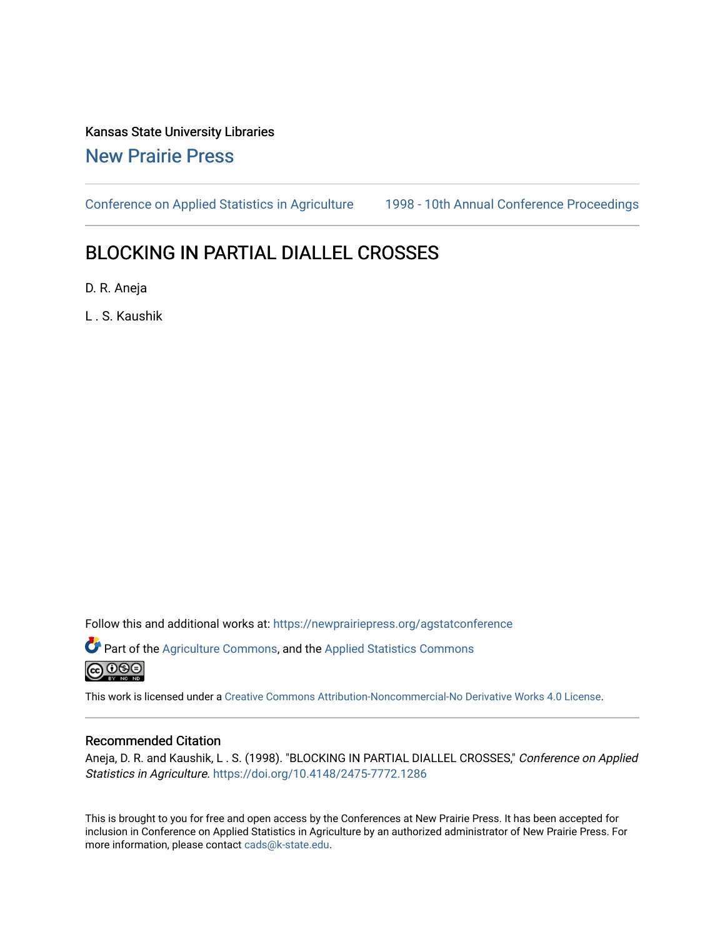## Kansas State University Libraries [New Prairie Press](https://newprairiepress.org/)

[Conference on Applied Statistics in Agriculture](https://newprairiepress.org/agstatconference) [1998 - 10th Annual Conference Proceedings](https://newprairiepress.org/agstatconference/1998) 

# BLOCKING IN PARTIAL DIALLEL CROSSES

D. R. Aneja

L . S. Kaushik

Follow this and additional works at: [https://newprairiepress.org/agstatconference](https://newprairiepress.org/agstatconference?utm_source=newprairiepress.org%2Fagstatconference%2F1998%2Fproceedings%2F15&utm_medium=PDF&utm_campaign=PDFCoverPages)

Part of the [Agriculture Commons](http://network.bepress.com/hgg/discipline/1076?utm_source=newprairiepress.org%2Fagstatconference%2F1998%2Fproceedings%2F15&utm_medium=PDF&utm_campaign=PDFCoverPages), and the [Applied Statistics Commons](http://network.bepress.com/hgg/discipline/209?utm_source=newprairiepress.org%2Fagstatconference%2F1998%2Fproceedings%2F15&utm_medium=PDF&utm_campaign=PDFCoverPages)   $\bigcirc$  000

This work is licensed under a [Creative Commons Attribution-Noncommercial-No Derivative Works 4.0 License.](https://creativecommons.org/licenses/by-nc-nd/4.0/)

#### Recommended Citation

Aneja, D. R. and Kaushik, L. S. (1998). "BLOCKING IN PARTIAL DIALLEL CROSSES," Conference on Applied Statistics in Agriculture.<https://doi.org/10.4148/2475-7772.1286>

This is brought to you for free and open access by the Conferences at New Prairie Press. It has been accepted for inclusion in Conference on Applied Statistics in Agriculture by an authorized administrator of New Prairie Press. For more information, please contact [cads@k-state.edu](mailto:cads@k-state.edu).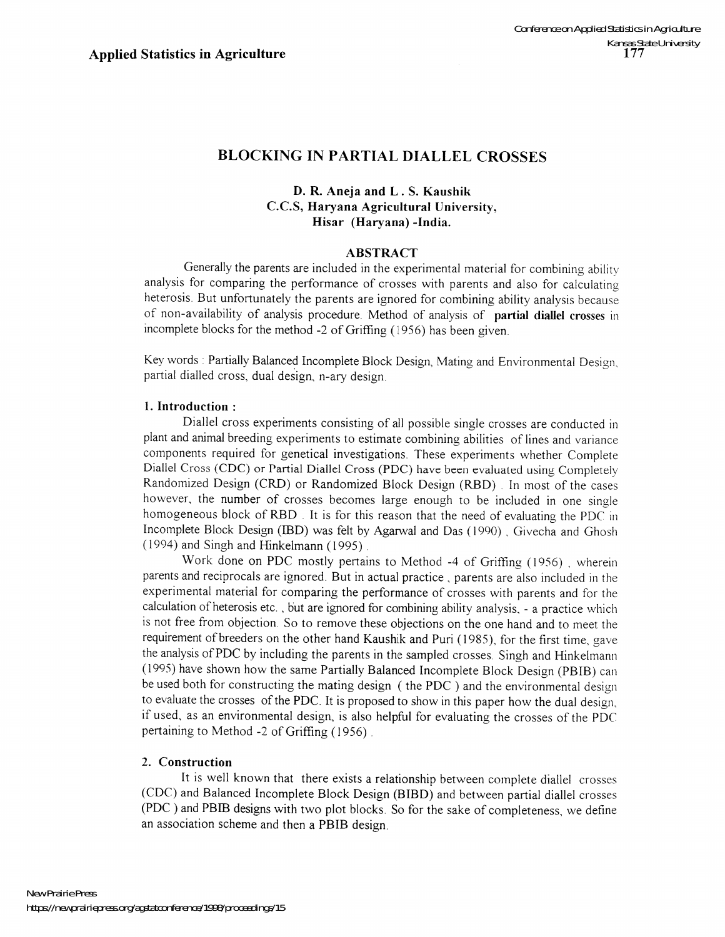## BLOCKING IN PARTIAL DIALLEL CROSSES

#### D. R. Aneja and L . S. Kaushik c.C.S, Haryana Agricultural University, Hisar (Haryana) -India.

#### ABSTRACT

Generally the parents are included in the experimental material for combining ability analysis for comparing the performance of crosses with parents and also for calculating heterosis. But unfortunately the parents are ignored for combining ability analysis because of non-availability of analysis procedure. Method of analysis of partial diallel crosses in incomplete blocks for the method -2 of Griffing (1956) has been given.

Key words: Partially Balanced Incomplete Block Design, Mating and Environmental Design, partial dialled cross, dual design, n-ary design.

#### 1. Introduction:

Diallel cross experiments consisting of all possible single crosses are conducted in plant and animal breeding experiments to estimate combining abilities of lines and variance components required for genetical investigations. These experiments whether Complete Diallel Cross (CDC) or Partial Diallel Cross (PDC) have been evaluated using Completely Randomized Design (CRD) or Randomized Block Design (RBD) . In most of the cases however, the number of crosses becomes large enough to be included in one single homogeneous block of RBD . It is for this reason that the need of evaluating the PDC in Incomplete Block Design (IBD) was felt by Agarwal and Das (1990) , Givecha and Ghosh (1994) and Singh and Hinkelmann (1995) .

Work done on PDC mostly pertains to Method -4 of Griffing (1956) , wherein parents and reciprocals are ignored. But in actual practice, parents are also included in the experimental material for comparing the performance of crosses with parents and for the calculation of heterosis etc. , but are ignored for combining ability analysis, - a practice which is not free from objection. So to remove these objections on the one hand and to meet the requirement of breeders on the other hand Kaushik and Puri (1985), for the first time, gave the analysis of PDC by including the parents in the sampled crosses. Singh and Hinkelmann (1995) have shown how the same Partially Balanced Incomplete Block Design (PBIB) can be used both for constructing the mating design (the PDC ) and the environmental design to evaluate the crosses of the PDC. It is proposed to show in this paper how the dual design, if used, as an environmental design, is also helpful for evaluating the crosses of the PDC pertaining to Method -2 of Griffing (1956) .

### 2. Construction

It is well known that there exists a relationship between complete diallel crosses (CDC) and Balanced Incomplete Block Design (BIBD) and between partial diallel crosses (PDC ) and PBIB designs with two plot blocks. So for the sake of completeness, we define an association scheme and then a PBIB design.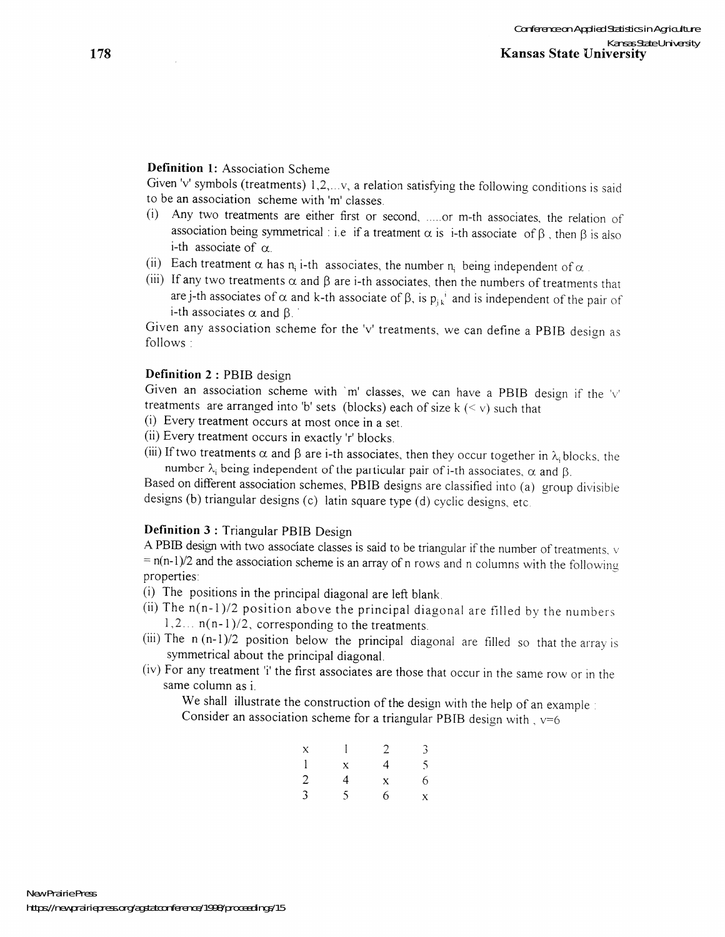#### **Definition 1:** Association Scheme

Given 'v' symbols (treatments) 1,2,...v, a relation satisfying the following conditions is said to be an association scheme with 'm' classes.

- (i) Any two treatments are either first or second, ..... or m-th associates, the relation of association being symmetrical: i.e if a treatment  $\alpha$  is i-th associate of  $\beta$ , then  $\beta$  is also i-th associate of  $\alpha$ .
- (ii) Each treatment  $\alpha$  has  $n_i$  i-th associates, the number  $n_i$  being independent of  $\alpha$
- (iii) If any two treatments  $\alpha$  and  $\beta$  are i-th associates, then the numbers of treatments that are j-th associates of  $\alpha$  and k-th associate of  $\beta$ , is  $p_{jk}$ <sup>i</sup> and is independent of the pair of i-th associates  $\alpha$  and  $\beta$ .

Given any association scheme for the 'v' treatments, we can define a PBIB design as follows:

#### **Definition 2** : PBIB design

Given an association scheme with 'm' classes, we can have a PBIB design if the 'v' treatments are arranged into 'b' sets (blocks) each of size  $k \leq v$ ) such that

- (i) Every treatment occurs at most once in a set.
- (ii) Every treatment occurs in exactly 'r' blocks.
- (iii) If two treatments  $\alpha$  and  $\beta$  are i-th associates, then they occur together in  $\lambda_i$  blocks, the number  $\lambda_i$  being independent of the particular pair of i-th associates,  $\alpha$  and  $\beta$ .

Based on different association schemes, PBIB designs are classified into (a) group divisible designs (b) triangular designs (c) latin square type (d) cyclic designs, etc.

#### **Definition 3** : Triangular PBIB Design

A PBIB design with two associate classes is said to be triangular if the number of treatments, v  $= n(n-1)/2$  and the association scheme is an array of n rows and n columns with the following properties:

- (i) The positions in the principal diagonal are left blank.
- (ii) The  $n(n-1)/2$  position above the principal diagonal are filled by the numbers  $1, 2...$   $n(n-1)/2$ , corresponding to the treatments.
- (iii) The  $n(n-1)/2$  position below the principal diagonal are filled so that the array is symmetrical about the principal diagonal.
- (iv) For any treatment 'i' the first associates are those that occur in the same row or in the same column as i.

We shall illustrate the construction of the design with the help of an example: Consider an association scheme for a triangular PBIB design with,  $v=6$ 

| $\mathbf{x}$   |              | 2            | $\mathfrak{Z}$ |
|----------------|--------------|--------------|----------------|
| $\mathbf{1}$   | $\mathbf{x}$ | 4            | 5 <sup>1</sup> |
| $\overline{2}$ | 4            | $\mathbf{X}$ | 6              |
| $\mathfrak{Z}$ | 5.           | 6            | $\mathbf{X}$   |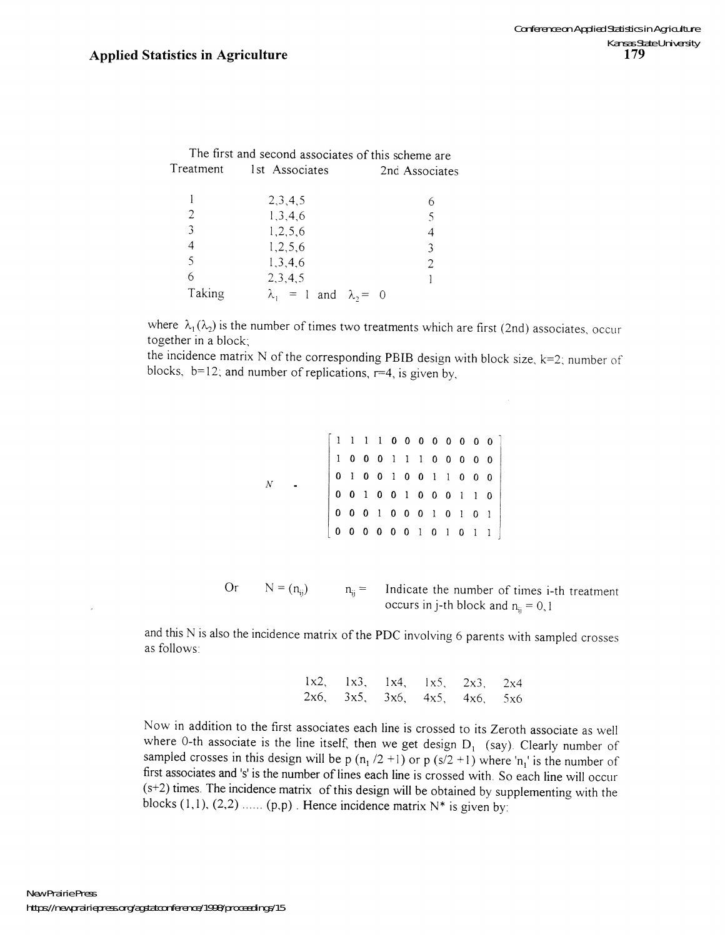|           | The first and second associates of this scheme are |                |
|-----------|----------------------------------------------------|----------------|
| Treatment | 1st Associates                                     | 2nd Associates |
|           | 2,3,4,5                                            | 6              |
| 2         | 1,3,4,6                                            | 5              |
| 3         | 1,2,5,6                                            | 4              |
| 4         | 1,2,5,6                                            | 3              |
| 5         | 1,3,4,6                                            | 2              |
| 6         | 2,3,4,5                                            |                |
| Taking    | $\lambda_1 = 1$ and $\lambda_2 = 0$                |                |

where  $\lambda_1(\lambda_2)$  is the number of times two treatments which are first (2nd) associates, occur together in a block;

the incidence matrix N of the corresponding PBIB design with block size,  $k=2$ ; number of blocks,  $b=12$ ; and number of replications,  $r=4$ , is given by,

| N |  |  |  |  |  | $\left[ \begin{array}{cccccccccccc} 1 & 1 & 1 & 1 & 0 & 0 & 0 & 0 & 0 & 0 & 0 & 0 & 0 \\ 1 & 0 & 0 & 0 & 1 & 1 & 1 & 0 & 0 & 0 & 0 & 0 \\ 0 & 1 & 0 & 0 & 1 & 0 & 0 & 1 & 1 & 0 & 0 & 0 \\ 0 & 0 & 1 & 0 & 0 & 1 & 0 & 0 & 0 & 1 & 1 & 0 \\ 0 & 0 & 0 & 1 & 0 & 0 & 0 & 1 & 0 & 1 & 0 & 1 \\ 0 & 0 & 0 & 0 & 0 & 0 & 1 & 0 & $ |  |
|---|--|--|--|--|--|--------------------------------------------------------------------------------------------------------------------------------------------------------------------------------------------------------------------------------------------------------------------------------------------------------------------------------|--|
|   |  |  |  |  |  |                                                                                                                                                                                                                                                                                                                                |  |
|   |  |  |  |  |  |                                                                                                                                                                                                                                                                                                                                |  |
|   |  |  |  |  |  |                                                                                                                                                                                                                                                                                                                                |  |
|   |  |  |  |  |  |                                                                                                                                                                                                                                                                                                                                |  |
|   |  |  |  |  |  |                                                                                                                                                                                                                                                                                                                                |  |

Or 
$$
N = (n_{ij})
$$
  $n_{ij} =$  Indicate the number of times i-th treatment  
occurs in j-th block and  $n_{ij} = 0, 1$ 

and this N is also the incidence matrix of the PDC involving 6 parents with sampled crosses as follows

| $1x2$ , $1x3$ , $1x4$ , $1x5$ , $2x3$ , $2x4$ |  |  |
|-----------------------------------------------|--|--|
| $2x6$ , $3x5$ , $3x6$ , $4x5$ , $4x6$ , $5x6$ |  |  |

Now in addition to the first associates each line is crossed to its Zeroth associate as well where 0-th associate is the line itself, then we get design  $D_1$  (say). Clearly number of sampled crosses in this design will be p  $(n_1/2 + 1)$  or p  $(s/2 + 1)$  where 'n<sub>1</sub>' is the number of first associates and 's' is the number of lines each line is crossed with. So each line will occur (s+2) times. The incidence matrix of this design will be obtained by supplementing with the blocks  $(1,1)$ ,  $(2,2)$  ......  $(p,p)$ . Hence incidence matrix  $N^*$  is given by: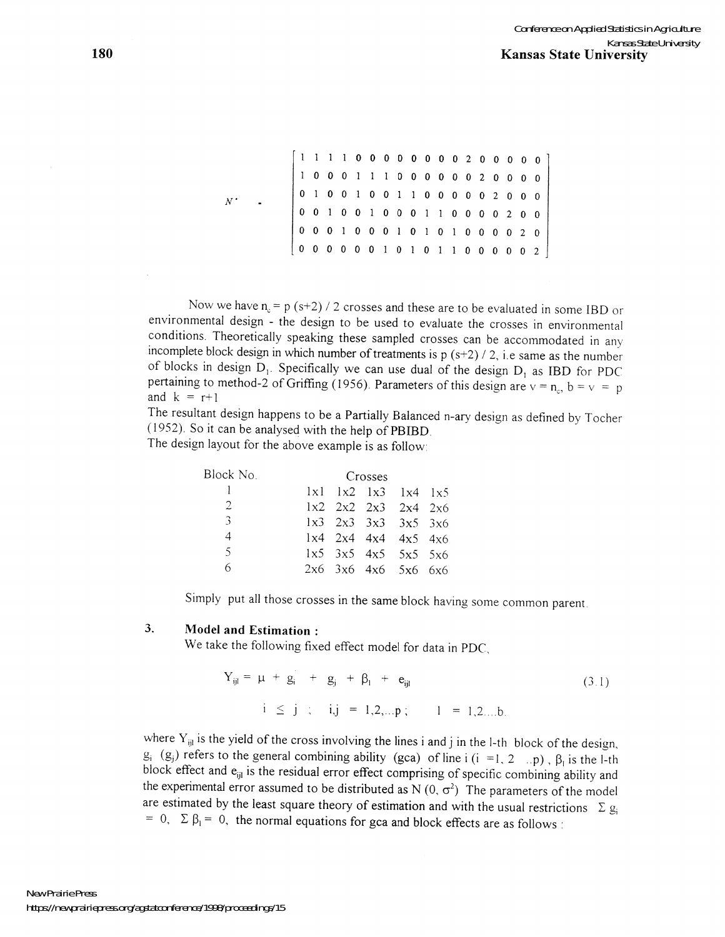*N·*  1 1 1 1 0 000 0 0 002 0 0 0 0 0 1 0 0 0 1 1 1 0 0 0 0 0 0 2 0 0 0 0 000 1 001 1 0 0 0 0 0 2 000 o 0 1 0 0 I 000 I I 0 0 0 0 2 0 0 000 I 000 0 I 0 o 0 0 0 0 0 0 I 0  $0 \t0 \t0 \t0 \t2 \t0$ 0 0 0 0 0 2

Now we have  $n_c = p (s+2) / 2$  crosses and these are to be evaluated in some IBD or environmental design - the design to be used to evaluate the crosses in environmental conditions. Theoretically speaking these sampled crosses can be accommodated in any incomplete block design in which number of treatments is  $p(s+2)/2$ , i.e same as the number of blocks in design  $D_1$ . Specifically we can use dual of the design  $D_1$  as IBD for PDC pertaining to method-2 of Griffing (1956). Parameters of this design are  $v = n_c$ ,  $b = v = p$ and  $k = r+1$ 

The resultant design happens to be a Partially Balanced n-ary design as defined by Tocher (1952). So it can be analysed with the help of PBIBD

The design layout for the above example is as follow:

| Block No.      | Crosses |  |  |                                               |  |  |  |  |
|----------------|---------|--|--|-----------------------------------------------|--|--|--|--|
|                |         |  |  | $1x1$ $1x2$ $1x3$ $1x4$ $1x5$                 |  |  |  |  |
| $\overline{2}$ |         |  |  | $1x2 \quad 2x2 \quad 2x3 \quad 2x4 \quad 2x6$ |  |  |  |  |
| $\mathcal{F}$  |         |  |  | $1x3$ $2x3$ $3x3$ $3x5$ $3x6$                 |  |  |  |  |
| 4              |         |  |  | $1x4$ 2x4 4x4 4x5 4x6                         |  |  |  |  |
| $\zeta$        |         |  |  | $1x5$ $3x5$ $4x5$ $5x5$ $5x6$                 |  |  |  |  |
| 6              |         |  |  | $2x6$ $3x6$ $4x6$ $5x6$ $6x6$                 |  |  |  |  |

Simply put all those crosses in the same block having some common parent

#### 3. **Model and Estimation:**

We take the following fixed effect model for data in PDC,

$$
Y_{ijl} = \mu + g_i + g_j + g_l + e_{ijl}
$$
  
\n $i \le j ; i, j = 1, 2, ..., p; \qquad l = 1, 2, ..., b.$  (3.1)

where  $Y_{ijl}$  is the yield of the cross involving the lines i and j in the I-th block of the design,  $g_i$  ( $g_j$ ) refers to the general combining ability (gca) of line i (i = 1, 2 ... p),  $\beta_1$  is the I-th block effect and e<sub>ijl</sub> is the residual error effect comprising of specific combining ability and the experimental error assumed to be distributed as N  $(0, \sigma^2)$  The parameters of the model are estimated by the least square theory of estimation and with the usual restrictions  $\Sigma g_i$ = 0,  $\Sigma \beta_1 = 0$ , the normal equations for gca and block effects are as follows: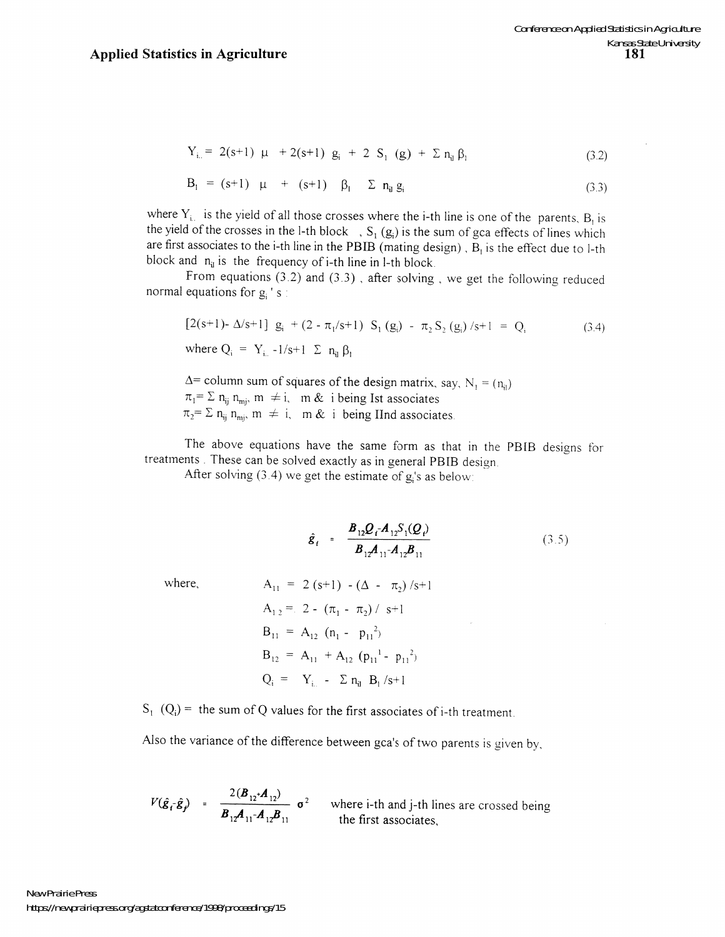$$
Y_{i.} = 2(s+1) \mu + 2(s+1) g_i + 2 S_1 (g) + \Sigma n_i \beta_i
$$
 (3.2)

$$
B_{1} = (s+1) \mu + (s+1) \beta_{1} \sum n_{ij} g_{i}
$$
 (3.3)

where  $Y_i$  is the yield of all those crosses where the i-th line is one of the parents,  $B_i$  is the yield of the crosses in the l-th block ,  $S_1(g_i)$  is the sum of gca effects of lines which are first associates to the i-th line in the PBIB (mating design),  $B<sub>1</sub>$  is the effect due to l-th block and  $n_{ii}$  is the frequency of i-th line in l-th block.

From equations (3.2) and (3.3) , after solving, we get the following reduced normal equations for  $g_i$  's :

$$
[2(s+1) - \Delta/s + 1] g_i + (2 - \pi_1/s + 1) S_1 (g_i) - \pi_2 S_2 (g_i) / s + 1 = Q_i
$$
\nwhere  $Q_i = Y_{i..} - 1/s + 1 \sum n_{ij} \beta_1$ 

\n(3.4)

 $\Delta$ = column sum of squares of the design matrix, say, N<sub>1</sub> = (n<sub>i</sub>)  $\pi_1 = \sum n_{ij} n_{mj}$ ,  $m \neq i$ ,  $m \&$  i being Ist associates  $\pi_2 = \sum n_{ij} n_{mj}$ ,  $m \neq i$ ,  $m \& i$  being IInd associates.

The above equations have the same form as that in the PBIB designs for treatments. These can be solved exactly as in general PBIB design.

After solving  $(3.4)$  we get the estimate of g's as below:

$$
\hat{g}_t = \frac{B_{12} Q_t A_{12} S_1(Q_t)}{B_{12} A_{11} A_{12} B_{11}} \tag{3.5}
$$

where,

$$
\hat{g}_t = \frac{2(3.5)}{B_{12}A_{11}A_{12}B_{11}} \tag{3.5}
$$
\n
$$
A_{11} = 2(3.5) - (\Delta - \pi_2)/3 + 1
$$
\n
$$
A_{12} = 2 - (\pi_1 - \pi_2)/3 + 1
$$
\n
$$
B_{11} = A_{12}(n_1 - p_{11}^2)
$$
\n
$$
B_{12} = A_{11} + A_{12}(p_{11}^1 - p_{11}^2)
$$
\n
$$
Q_i = Y_{i..} - \Sigma n_i B_i/3 + 1
$$
\n(3.5)

 $S_1$  (Q<sub>i</sub>) = the sum of Q values for the first associates of i-th treatment.

Also the variance of the difference between gca's of two parents is given by,

$$
V(\hat{\mathbf{g}}_t \cdot \hat{\mathbf{g}}_t) = \frac{2(\mathbf{B}_{12} \cdot \mathbf{A}_{12})}{\mathbf{B}_{12} \mathbf{A}_{11} \cdot \mathbf{A}_{12} \mathbf{B}_{11}} \quad \sigma^2 \quad \text{where } i \text{-th and } j \text{-th lines are crossed being the first associates,}
$$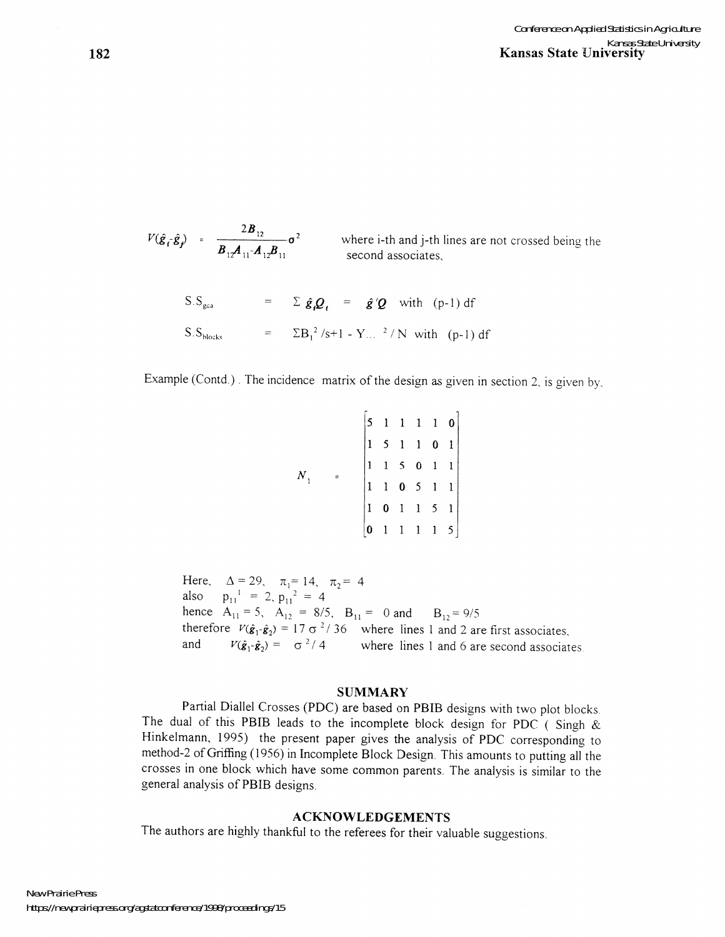$\overline{2}$   $\overline{B}_{12}$   $\overline{z}^2$  $\bm{B}_{12}$  $\bm{A}_{11}$ <sup>-</sup> $\bm{A}_{12}$  $\bm{B}_{11}$ where i-th and j-th lines are not crossed being the second associates,  $S.S_{\text{max}} = \sum \hat{\varrho} O = \hat{\varrho}' O \text{ with } (p-1) \text{ df}$ 

$$
S.S_{blocks} = \sum B_1^2 / s + 1 - Y ...^2 / N \text{ with } (p-1) \text{ df}
$$

Example (Contd.) . The incidence matrix of the design as given in section 2, is given by,

|    |  |  |  | $\begin{bmatrix} 5 & 1 & 1 & 1 & 1 & 0 \\ 1 & 5 & 1 & 1 & 0 & 1 \\ 1 & 1 & 5 & 0 & 1 & 1 \\ 1 & 1 & 0 & 5 & 1 & 1 \\ 1 & 0 & 1 & 1 & 5 & 1 \\ 0 & 1 & 1 & 1 & 1 & 5 \end{bmatrix}$ |
|----|--|--|--|------------------------------------------------------------------------------------------------------------------------------------------------------------------------------------|
| N, |  |  |  |                                                                                                                                                                                    |
|    |  |  |  |                                                                                                                                                                                    |
|    |  |  |  |                                                                                                                                                                                    |
|    |  |  |  |                                                                                                                                                                                    |

Here,  $\Delta = 29$ ,  $\pi_1 = 14$ ,  $\pi_2 = 4$ also  $p_{11}' = 2, p_{11}' = 4$ hence  $A_{11} = 5$ ,  $A_{12} = 8/5$ ,  $B_{11} = 0$  and  $B_{12} = 9/5$ therefore  $V(\hat{\mathbf{g}}_1 \cdot \hat{\mathbf{g}}_2) = 17 \sigma^2 / 36$  where lines 1 and 2 are first associates, and  $V(\hat{\mathbf{g}}_1 - \hat{\mathbf{g}}_2) = \sigma^2/4$  where lines 1 and 6 are second associates.

#### **SUMMARY**

Partial Diallel Crosses (PDC) are based on PBIB designs with two plot blocks The dual of this PBIB leads to the incomplete block design for PDC (Singh  $\&$ Hinkelmann, 1995) the present paper gives the analysis of PDC corresponding to method-2 of Griffing (1956) in Incomplete Block Design. This amounts to putting all the crosses in one block which have some common parents. The analysis is similar to the general analysis of PBIB designs.

#### **ACKNOWLEDGEMENTS**

The authors are highly thankful to the referees for their valuable suggestions.